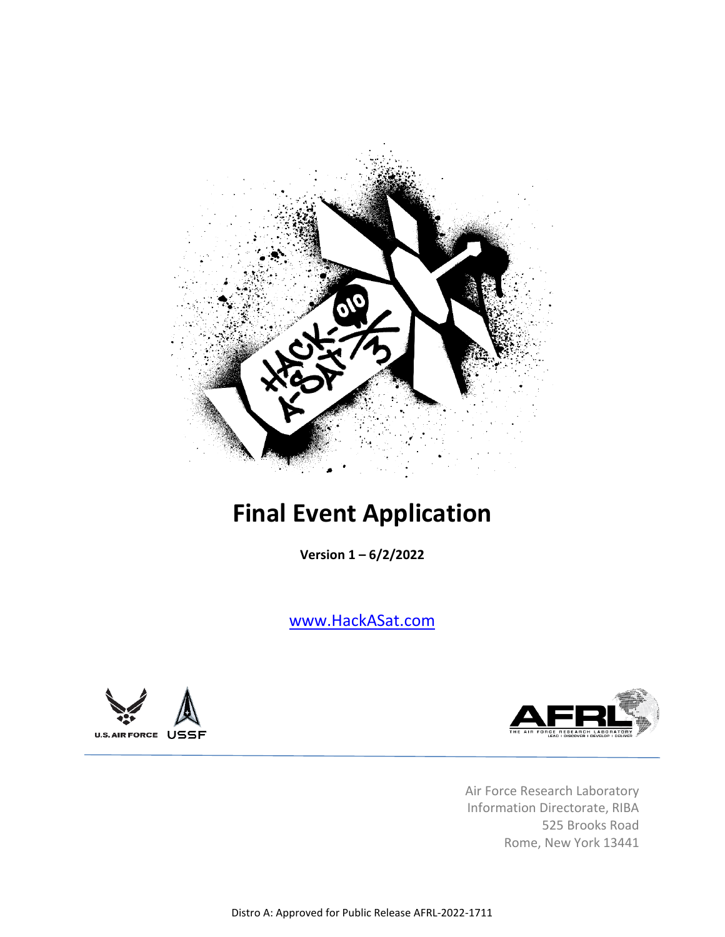

# **Final Event Application**

**Version 1 – 6/2/2022**

[www.HackASat.com](http://www.hackasat.com/)





Air Force Research Laboratory Information Directorate, RIBA 525 Brooks Road Rome, New York 13441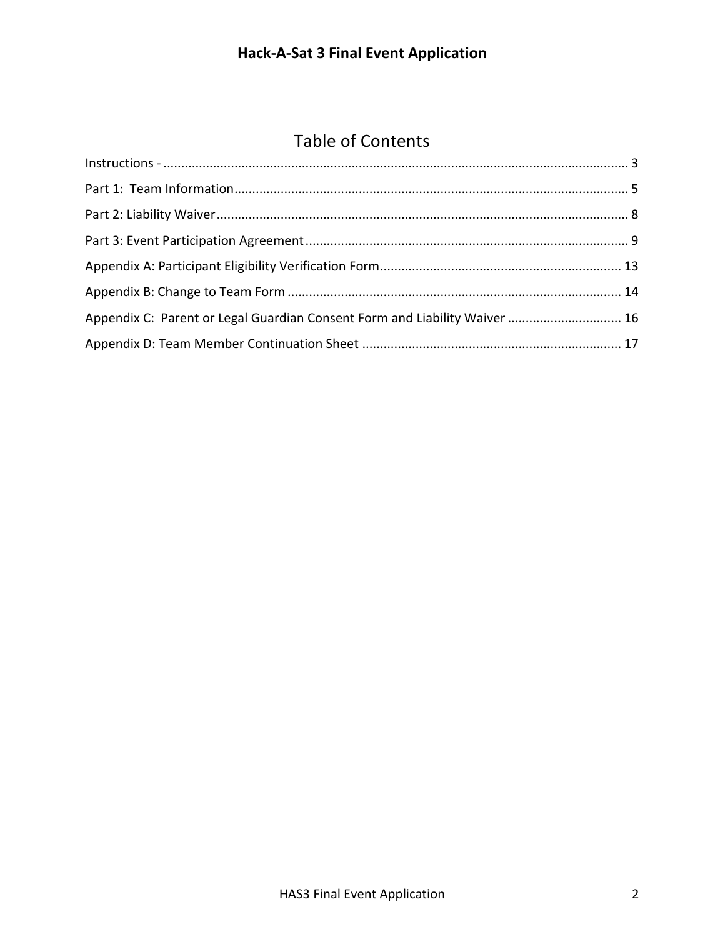# **Hack-A-Sat 3 Final Event Application**

# Table of Contents

| Appendix C: Parent or Legal Guardian Consent Form and Liability Waiver  16 |  |
|----------------------------------------------------------------------------|--|
|                                                                            |  |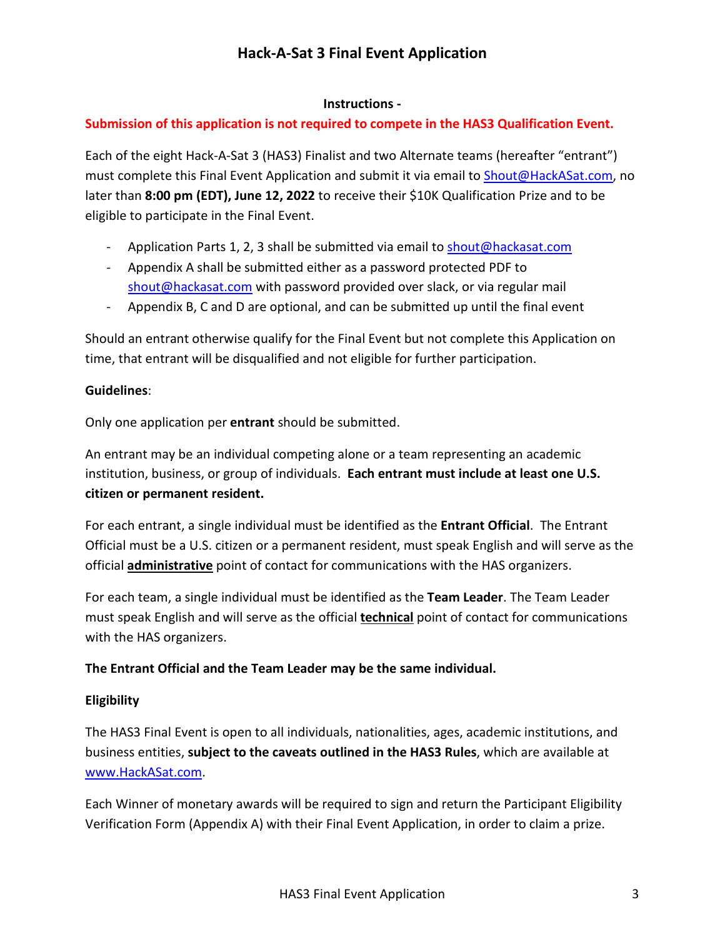# **Hack-A-Sat 3 Final Event Application**

## **Instructions -**

# <span id="page-2-0"></span>**Submission of this application is not required to compete in the HAS3 Qualification Event.**

Each of the eight Hack-A-Sat 3 (HAS3) Finalist and two Alternate teams (hereafter "entrant") must complete this Final Event Application and submit it via email t[o Shout@HackASat.com,](mailto:Shout@HackASat.com) no later than **8:00 pm (EDT), June 12, 2022** to receive their \$10K Qualification Prize and to be eligible to participate in the Final Event.

- Application Parts 1, 2, 3 shall be submitted via email to [shout@hackasat.com](mailto:shout@hackasat.com)
- Appendix A shall be submitted either as a password protected PDF to [shout@hackasat.com](mailto:shout@hackasat.com) with password provided over slack, or via regular mail
- Appendix B, C and D are optional, and can be submitted up until the final event

Should an entrant otherwise qualify for the Final Event but not complete this Application on time, that entrant will be disqualified and not eligible for further participation.

# **Guidelines**:

Only one application per **entrant** should be submitted.

An entrant may be an individual competing alone or a team representing an academic institution, business, or group of individuals. **Each entrant must include at least one U.S. citizen or permanent resident.**

For each entrant, a single individual must be identified as the **Entrant Official**. The Entrant Official must be a U.S. citizen or a permanent resident, must speak English and will serve as the official **administrative** point of contact for communications with the HAS organizers.

For each team, a single individual must be identified as the **Team Leader**. The Team Leader must speak English and will serve as the official **technical** point of contact for communications with the HAS organizers.

### **The Entrant Official and the Team Leader may be the same individual.**

### **Eligibility**

The HAS3 Final Event is open to all individuals, nationalities, ages, academic institutions, and business entities, **subject to the caveats outlined in the HAS3 Rules**, which are available at [www.HackASat.com.](http://www.hackasat.com/)

Each Winner of monetary awards will be required to sign and return the Participant Eligibility Verification Form (Appendix A) with their Final Event Application, in order to claim a prize.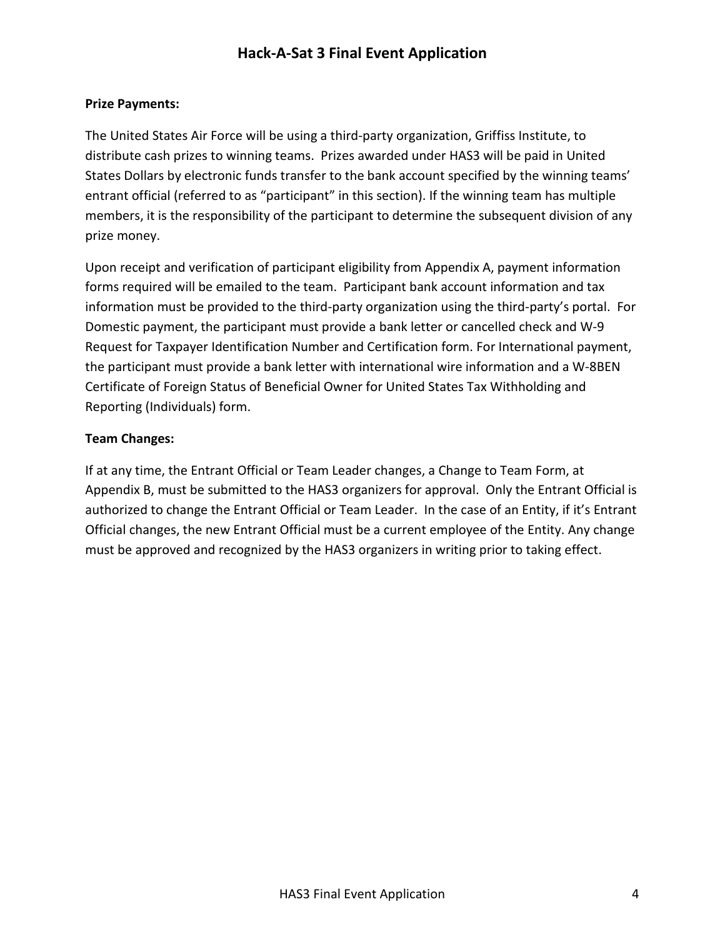# **Hack-A-Sat 3 Final Event Application**

## **Prize Payments:**

The United States Air Force will be using a third-party organization, Griffiss Institute, to distribute cash prizes to winning teams. Prizes awarded under HAS3 will be paid in United States Dollars by electronic funds transfer to the bank account specified by the winning teams' entrant official (referred to as "participant" in this section). If the winning team has multiple members, it is the responsibility of the participant to determine the subsequent division of any prize money.

Upon receipt and verification of participant eligibility from Appendix A, payment information forms required will be emailed to the team. Participant bank account information and tax information must be provided to the third-party organization using the third-party's portal. For Domestic payment, the participant must provide a bank letter or cancelled check and W-9 Request for Taxpayer Identification Number and Certification form. For International payment, the participant must provide a bank letter with international wire information and a W-8BEN Certificate of Foreign Status of Beneficial Owner for United States Tax Withholding and Reporting (Individuals) form.

# **Team Changes:**

If at any time, the Entrant Official or Team Leader changes, a Change to Team Form, at Appendix B, must be submitted to the HAS3 organizers for approval. Only the Entrant Official is authorized to change the Entrant Official or Team Leader. In the case of an Entity, if it's Entrant Official changes, the new Entrant Official must be a current employee of the Entity. Any change must be approved and recognized by the HAS3 organizers in writing prior to taking effect.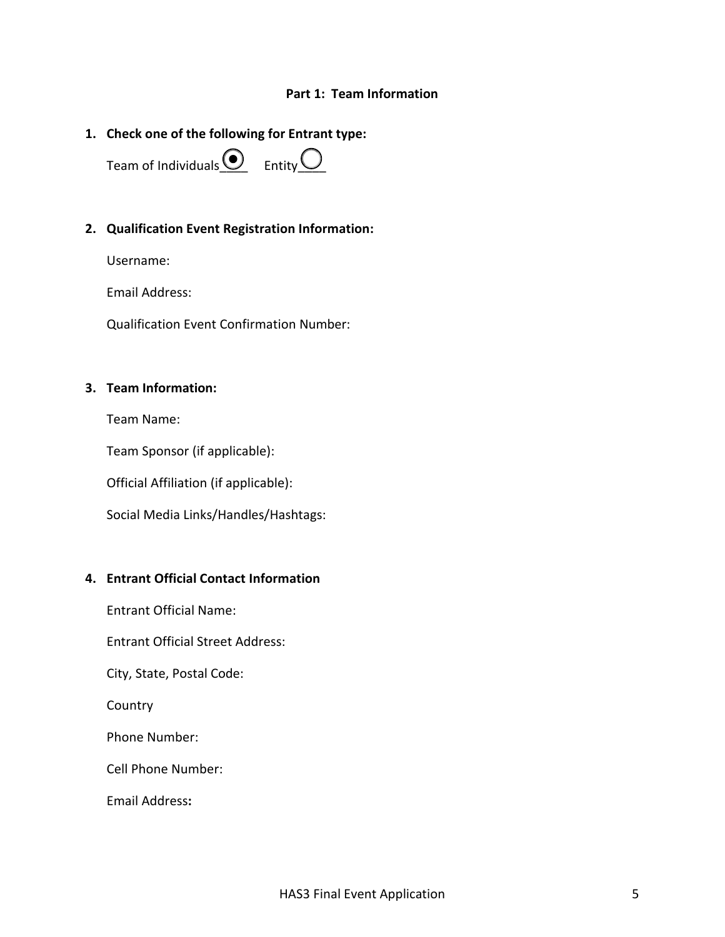#### **Part 1: Team Information**

# <span id="page-4-0"></span>**1. Check one of the following for Entrant type:**

Team of Individuals  $\Omega$  Entity  $\Omega$ 

#### **2. Qualification Event Registration Information:**

Username:

Email Address:

Qualification Event Confirmation Number:

#### **3. Team Information:**

Team Name:

Team Sponsor (if applicable):

Official Affiliation (if applicable):

Social Media Links/Handles/Hashtags:

#### **4. Entrant Official Contact Information**

Entrant Official Name:

Entrant Official Street Address:

City, State, Postal Code:

Country

Phone Number:

Cell Phone Number:

Email Address**:**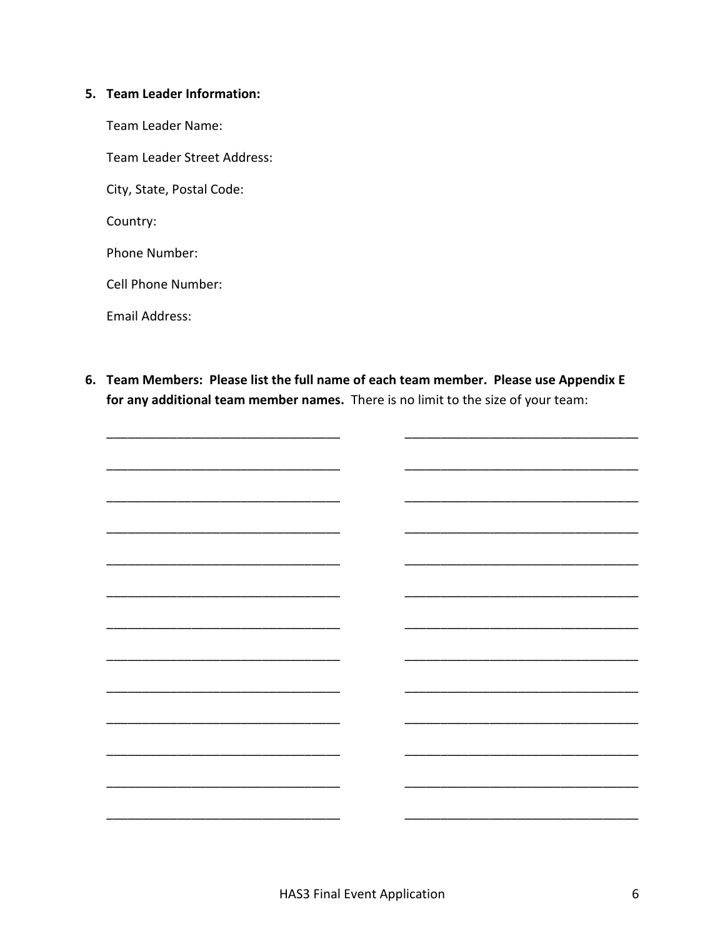#### 5. Team Leader Information:

- Team Leader Name:
- Team Leader Street Address:
- City, State, Postal Code:

Country:

Phone Number:

Cell Phone Number:

Email Address:

6. Team Members: Please list the full name of each team member. Please use Appendix E for any additional team member names. There is no limit to the size of your team:

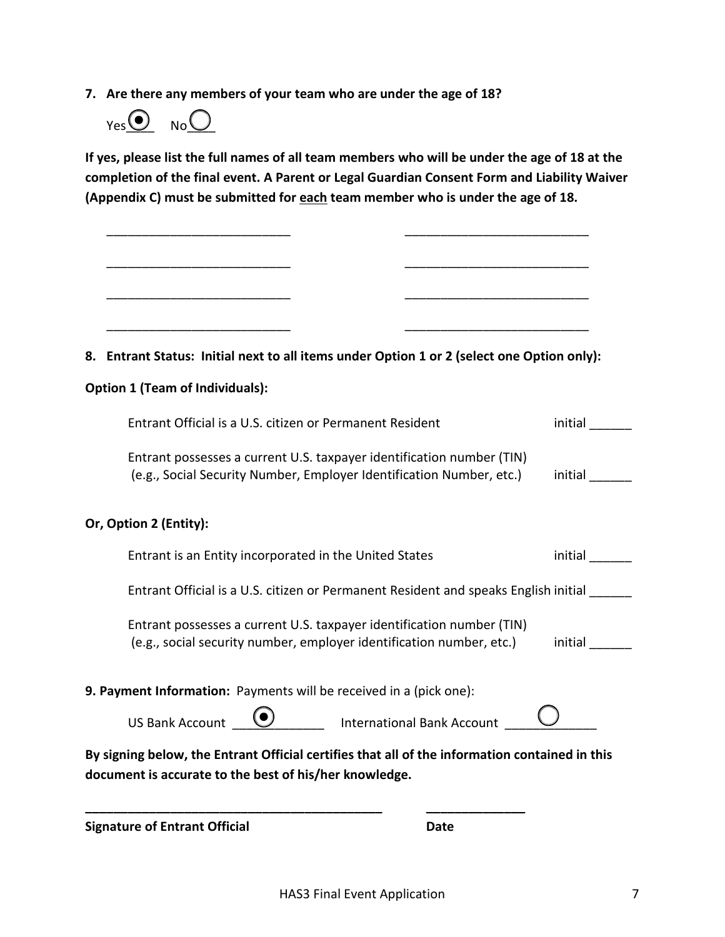**7. Are there any members of your team who are under the age of 18?**



**If yes, please list the full names of all team members who will be under the age of 18 at the completion of the final event. A Parent or Legal Guardian Consent Form and Liability Waiver (Appendix C) must be submitted for each team member who is under the age of 18.**

| <b>Signature of Entrant Official</b><br>Date                                                                                                  |         |
|-----------------------------------------------------------------------------------------------------------------------------------------------|---------|
| document is accurate to the best of his/her knowledge.                                                                                        |         |
| By signing below, the Entrant Official certifies that all of the information contained in this                                                |         |
| US Bank Account <u>(a)</u> International Bank Account                                                                                         |         |
| 9. Payment Information: Payments will be received in a (pick one):                                                                            |         |
| Entrant possesses a current U.S. taxpayer identification number (TIN)<br>(e.g., social security number, employer identification number, etc.) | initial |
| Entrant Official is a U.S. citizen or Permanent Resident and speaks English initial                                                           |         |
| Entrant is an Entity incorporated in the United States                                                                                        | initial |
| Or, Option 2 (Entity):                                                                                                                        |         |
| Entrant possesses a current U.S. taxpayer identification number (TIN)<br>(e.g., Social Security Number, Employer Identification Number, etc.) | initial |
| Entrant Official is a U.S. citizen or Permanent Resident                                                                                      | initial |
| <b>Option 1 (Team of Individuals):</b>                                                                                                        |         |
| 8. Entrant Status: Initial next to all items under Option 1 or 2 (select one Option only):                                                    |         |
|                                                                                                                                               |         |
|                                                                                                                                               |         |
|                                                                                                                                               |         |
|                                                                                                                                               |         |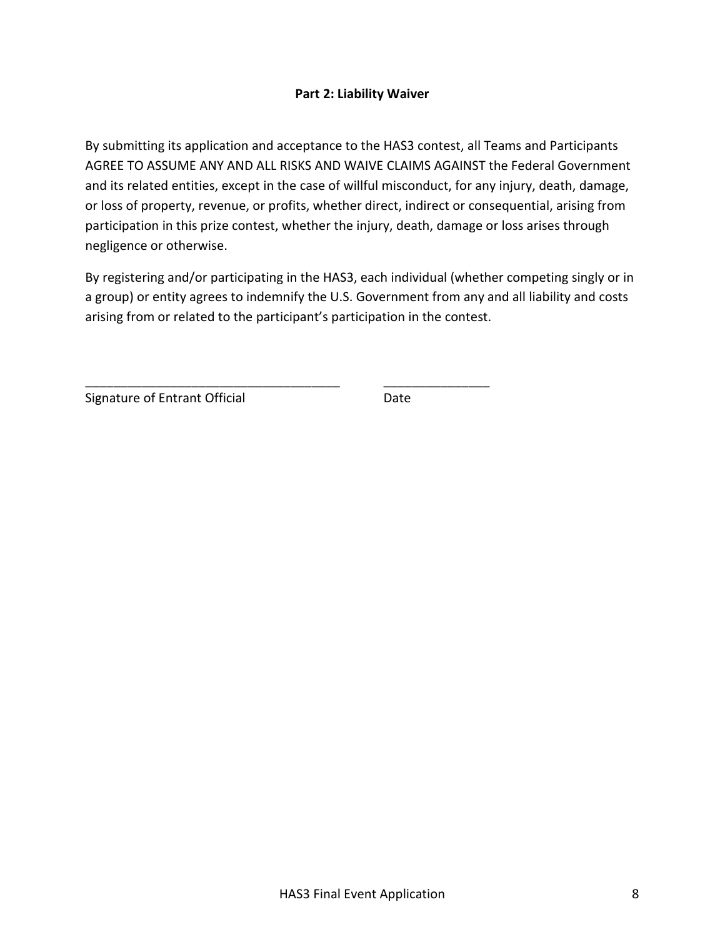## **Part 2: Liability Waiver**

<span id="page-7-0"></span>By submitting its application and acceptance to the HAS3 contest, all Teams and Participants AGREE TO ASSUME ANY AND ALL RISKS AND WAIVE CLAIMS AGAINST the Federal Government and its related entities, except in the case of willful misconduct, for any injury, death, damage, or loss of property, revenue, or profits, whether direct, indirect or consequential, arising from participation in this prize contest, whether the injury, death, damage or loss arises through negligence or otherwise.

By registering and/or participating in the HAS3, each individual (whether competing singly or in a group) or entity agrees to indemnify the U.S. Government from any and all liability and costs arising from or related to the participant's participation in the contest.

\_\_\_\_\_\_\_\_\_\_\_\_\_\_\_\_\_\_\_\_\_\_\_\_\_\_\_\_\_\_\_\_\_\_\_\_ \_\_\_\_\_\_\_\_\_\_\_\_\_\_\_

Signature of Entrant Official **Entrant Construction** Date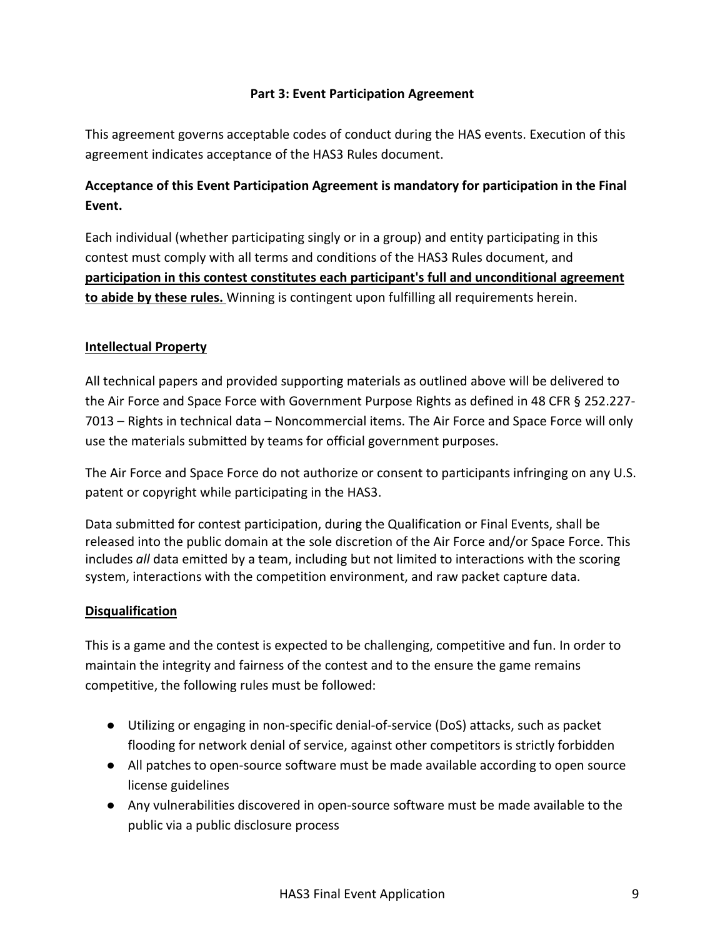# **Part 3: Event Participation Agreement**

<span id="page-8-0"></span>This agreement governs acceptable codes of conduct during the HAS events. Execution of this agreement indicates acceptance of the HAS3 Rules document.

# **Acceptance of this Event Participation Agreement is mandatory for participation in the Final Event.**

Each individual (whether participating singly or in a group) and entity participating in this contest must comply with all terms and conditions of the HAS3 Rules document, and **participation in this contest constitutes each participant's full and unconditional agreement to abide by these rules.** Winning is contingent upon fulfilling all requirements herein.

# **Intellectual Property**

All technical papers and provided supporting materials as outlined above will be delivered to the Air Force and Space Force with Government Purpose Rights as defined in 48 CFR § 252.227- 7013 – Rights in technical data – Noncommercial items. The Air Force and Space Force will only use the materials submitted by teams for official government purposes.

The Air Force and Space Force do not authorize or consent to participants infringing on any U.S. patent or copyright while participating in the HAS3.

Data submitted for contest participation, during the Qualification or Final Events, shall be released into the public domain at the sole discretion of the Air Force and/or Space Force. This includes *all* data emitted by a team, including but not limited to interactions with the scoring system, interactions with the competition environment, and raw packet capture data.

# **Disqualification**

This is a game and the contest is expected to be challenging, competitive and fun. In order to maintain the integrity and fairness of the contest and to the ensure the game remains competitive, the following rules must be followed:

- Utilizing or engaging in non-specific denial-of-service (DoS) attacks, such as packet flooding for network denial of service, against other competitors is strictly forbidden
- All patches to open-source software must be made available according to open source license guidelines
- Any vulnerabilities discovered in open-source software must be made available to the public via a public disclosure process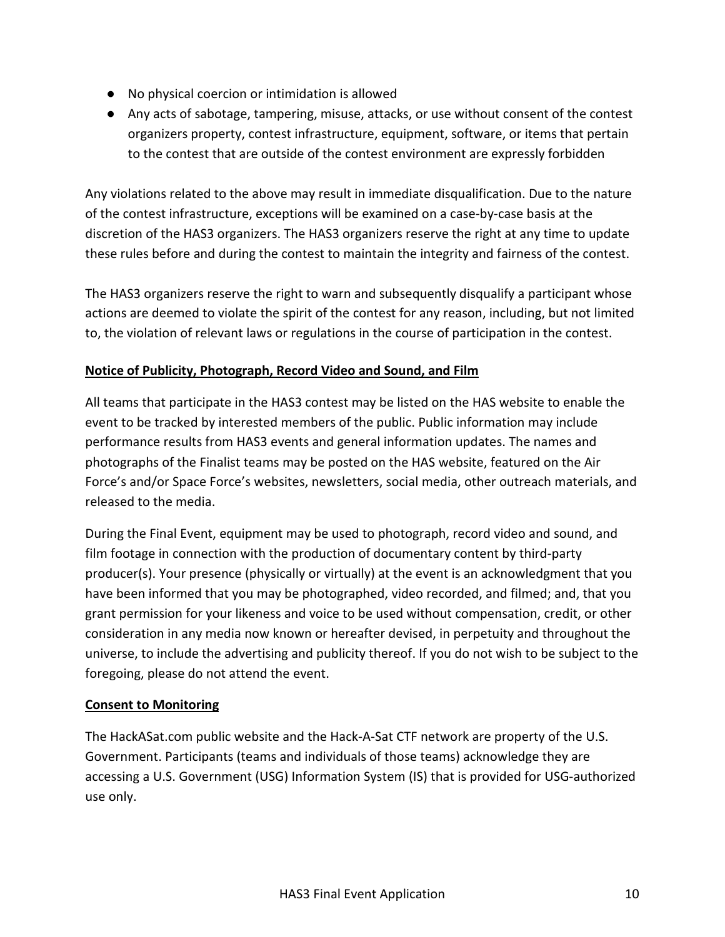- No physical coercion or intimidation is allowed
- Any acts of sabotage, tampering, misuse, attacks, or use without consent of the contest organizers property, contest infrastructure, equipment, software, or items that pertain to the contest that are outside of the contest environment are expressly forbidden

Any violations related to the above may result in immediate disqualification. Due to the nature of the contest infrastructure, exceptions will be examined on a case-by-case basis at the discretion of the HAS3 organizers. The HAS3 organizers reserve the right at any time to update these rules before and during the contest to maintain the integrity and fairness of the contest.

The HAS3 organizers reserve the right to warn and subsequently disqualify a participant whose actions are deemed to violate the spirit of the contest for any reason, including, but not limited to, the violation of relevant laws or regulations in the course of participation in the contest.

# **Notice of Publicity, Photograph, Record Video and Sound, and Film**

All teams that participate in the HAS3 contest may be listed on the HAS website to enable the event to be tracked by interested members of the public. Public information may include performance results from HAS3 events and general information updates. The names and photographs of the Finalist teams may be posted on the HAS website, featured on the Air Force's and/or Space Force's websites, newsletters, social media, other outreach materials, and released to the media.

During the Final Event, equipment may be used to photograph, record video and sound, and film footage in connection with the production of documentary content by third-party producer(s). Your presence (physically or virtually) at the event is an acknowledgment that you have been informed that you may be photographed, video recorded, and filmed; and, that you grant permission for your likeness and voice to be used without compensation, credit, or other consideration in any media now known or hereafter devised, in perpetuity and throughout the universe, to include the advertising and publicity thereof. If you do not wish to be subject to the foregoing, please do not attend the event.

# **Consent to Monitoring**

The HackASat.com public website and the Hack-A-Sat CTF network are property of the U.S. Government. Participants (teams and individuals of those teams) acknowledge they are accessing a U.S. Government (USG) Information System (IS) that is provided for USG-authorized use only.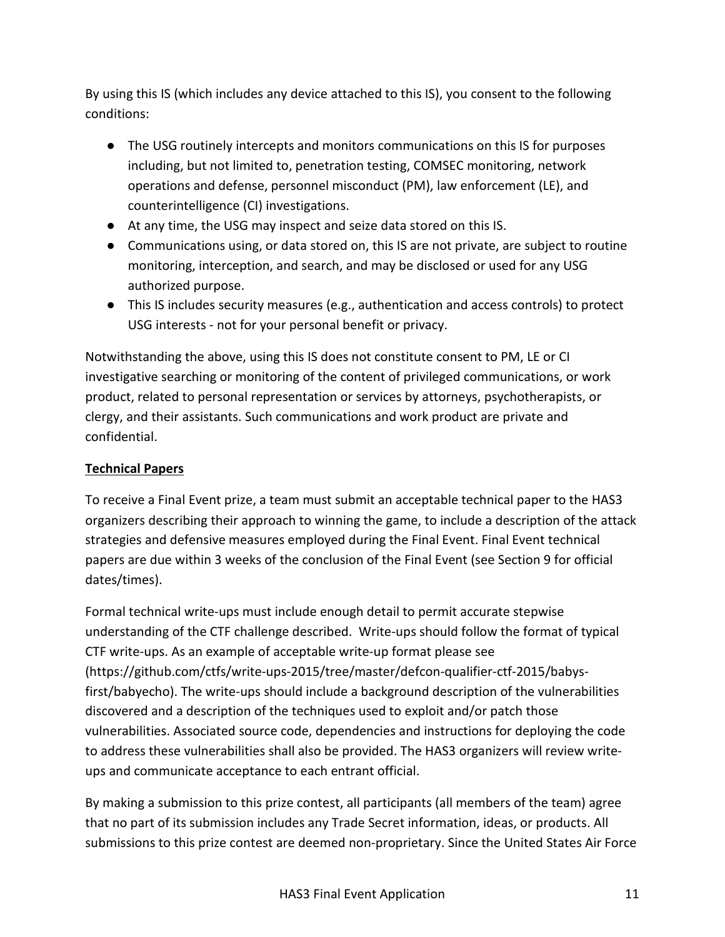By using this IS (which includes any device attached to this IS), you consent to the following conditions:

- The USG routinely intercepts and monitors communications on this IS for purposes including, but not limited to, penetration testing, COMSEC monitoring, network operations and defense, personnel misconduct (PM), law enforcement (LE), and counterintelligence (CI) investigations.
- At any time, the USG may inspect and seize data stored on this IS.
- Communications using, or data stored on, this IS are not private, are subject to routine monitoring, interception, and search, and may be disclosed or used for any USG authorized purpose.
- This IS includes security measures (e.g., authentication and access controls) to protect USG interests - not for your personal benefit or privacy.

Notwithstanding the above, using this IS does not constitute consent to PM, LE or CI investigative searching or monitoring of the content of privileged communications, or work product, related to personal representation or services by attorneys, psychotherapists, or clergy, and their assistants. Such communications and work product are private and confidential.

# **Technical Papers**

To receive a Final Event prize, a team must submit an acceptable technical paper to the HAS3 organizers describing their approach to winning the game, to include a description of the attack strategies and defensive measures employed during the Final Event. Final Event technical papers are due within 3 weeks of the conclusion of the Final Event (see Section 9 for official dates/times).

Formal technical write-ups must include enough detail to permit accurate stepwise understanding of the CTF challenge described. Write-ups should follow the format of typical CTF write-ups. As an example of acceptable write-up format please see (https://github.com/ctfs/write-ups-2015/tree/master/defcon-qualifier-ctf-2015/babysfirst/babyecho). The write-ups should include a background description of the vulnerabilities discovered and a description of the techniques used to exploit and/or patch those vulnerabilities. Associated source code, dependencies and instructions for deploying the code to address these vulnerabilities shall also be provided. The HAS3 organizers will review writeups and communicate acceptance to each entrant official.

By making a submission to this prize contest, all participants (all members of the team) agree that no part of its submission includes any Trade Secret information, ideas, or products. All submissions to this prize contest are deemed non-proprietary. Since the United States Air Force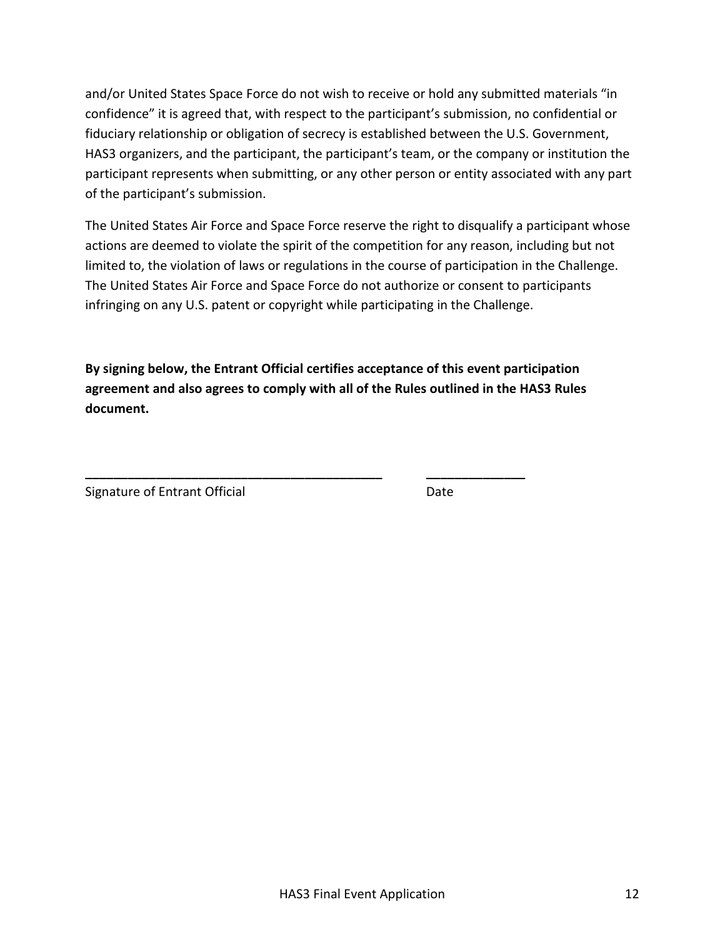and/or United States Space Force do not wish to receive or hold any submitted materials "in confidence" it is agreed that, with respect to the participant's submission, no confidential or fiduciary relationship or obligation of secrecy is established between the U.S. Government, HAS3 organizers, and the participant, the participant's team, or the company or institution the participant represents when submitting, or any other person or entity associated with any part of the participant's submission.

The United States Air Force and Space Force reserve the right to disqualify a participant whose actions are deemed to violate the spirit of the competition for any reason, including but not limited to, the violation of laws or regulations in the course of participation in the Challenge. The United States Air Force and Space Force do not authorize or consent to participants infringing on any U.S. patent or copyright while participating in the Challenge.

**By signing below, the Entrant Official certifies acceptance of this event participation agreement and also agrees to comply with all of the Rules outlined in the HAS3 Rules document.**

**\_\_\_\_\_\_\_\_\_\_\_\_\_\_\_\_\_\_\_\_\_\_\_\_\_\_\_\_\_\_\_\_\_\_\_\_\_\_\_\_\_\_ \_\_\_\_\_\_\_\_\_\_\_\_\_\_**

Signature of Entrant Official Date Date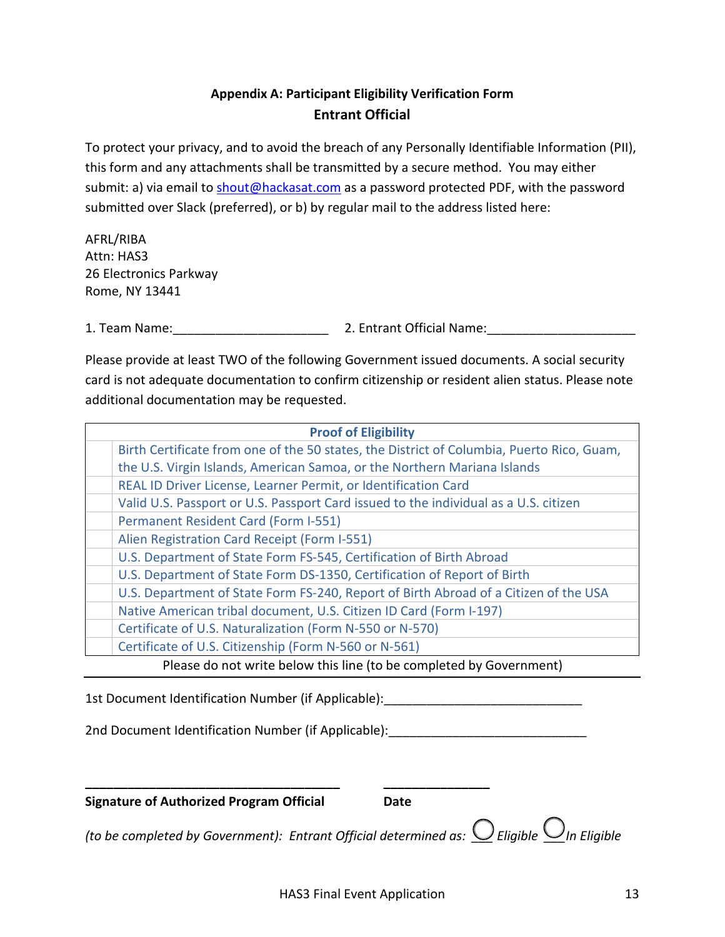# **Appendix A: Participant Eligibility Verification Form Entrant Official**

<span id="page-12-0"></span>To protect your privacy, and to avoid the breach of any Personally Identifiable Information (PII), this form and any attachments shall be transmitted by a secure method. You may either submit: a) via email to [shout@hackasat.com](mailto:shout@hackasat.com) as a password protected PDF, with the password submitted over Slack (preferred), or b) by regular mail to the address listed here:

AFRL/RIBA Attn: HAS3 26 Electronics Parkway Rome, NY 13441

1. Team Name:\_\_\_\_\_\_\_\_\_\_\_\_\_\_\_\_\_\_\_\_\_\_ 2. Entrant Official Name:\_\_\_\_\_\_\_\_\_\_\_\_\_\_\_\_\_\_\_\_\_

Please provide at least TWO of the following Government issued documents. A social security card is not adequate documentation to confirm citizenship or resident alien status. Please note additional documentation may be requested.

| <b>Proof of Eligibility</b>                                                               |  |  |  |
|-------------------------------------------------------------------------------------------|--|--|--|
| Birth Certificate from one of the 50 states, the District of Columbia, Puerto Rico, Guam, |  |  |  |
| the U.S. Virgin Islands, American Samoa, or the Northern Mariana Islands                  |  |  |  |
| REAL ID Driver License, Learner Permit, or Identification Card                            |  |  |  |
| Valid U.S. Passport or U.S. Passport Card issued to the individual as a U.S. citizen      |  |  |  |
| Permanent Resident Card (Form I-551)                                                      |  |  |  |
| Alien Registration Card Receipt (Form I-551)                                              |  |  |  |
| U.S. Department of State Form FS-545, Certification of Birth Abroad                       |  |  |  |
| U.S. Department of State Form DS-1350, Certification of Report of Birth                   |  |  |  |
| U.S. Department of State Form FS-240, Report of Birth Abroad of a Citizen of the USA      |  |  |  |
| Native American tribal document, U.S. Citizen ID Card (Form I-197)                        |  |  |  |
| Certificate of U.S. Naturalization (Form N-550 or N-570)                                  |  |  |  |
| Certificate of U.S. Citizenship (Form N-560 or N-561)                                     |  |  |  |
| Please do not write below this line (to be completed by Government)                       |  |  |  |

1st Document Identification Number (if Applicable): \_\_\_\_\_\_\_\_\_\_\_\_\_\_\_\_\_\_\_\_\_\_\_\_\_\_\_\_

2nd Document Identification Number (if Applicable):

**\_\_\_\_\_\_\_\_\_\_\_\_\_\_\_\_\_\_\_\_\_\_\_\_\_\_\_\_\_\_\_\_\_\_\_\_ \_\_\_\_\_\_\_\_\_\_\_\_\_\_\_**

**Signature of Authorized Program Official Date**

*(to be completed by Government): Entrant Official determined as:*  $\bigcirc$  Eligible  $\bigcirc$  In Eligible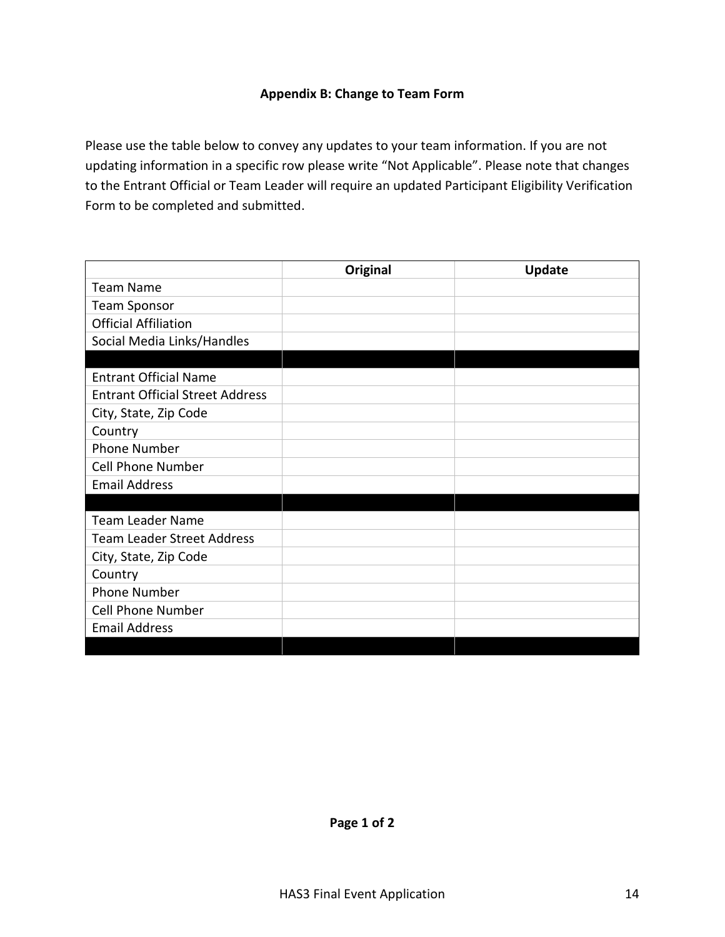# **Appendix B: Change to Team Form**

<span id="page-13-0"></span>Please use the table below to convey any updates to your team information. If you are not updating information in a specific row please write "Not Applicable". Please note that changes to the Entrant Official or Team Leader will require an updated Participant Eligibility Verification Form to be completed and submitted.

|                                        | Original | <b>Update</b> |
|----------------------------------------|----------|---------------|
| <b>Team Name</b>                       |          |               |
| <b>Team Sponsor</b>                    |          |               |
| <b>Official Affiliation</b>            |          |               |
| Social Media Links/Handles             |          |               |
|                                        |          |               |
| <b>Entrant Official Name</b>           |          |               |
| <b>Entrant Official Street Address</b> |          |               |
| City, State, Zip Code                  |          |               |
| Country                                |          |               |
| <b>Phone Number</b>                    |          |               |
| <b>Cell Phone Number</b>               |          |               |
| <b>Email Address</b>                   |          |               |
|                                        |          |               |
| <b>Team Leader Name</b>                |          |               |
| <b>Team Leader Street Address</b>      |          |               |
| City, State, Zip Code                  |          |               |
| Country                                |          |               |
| <b>Phone Number</b>                    |          |               |
| <b>Cell Phone Number</b>               |          |               |
| <b>Email Address</b>                   |          |               |
|                                        |          |               |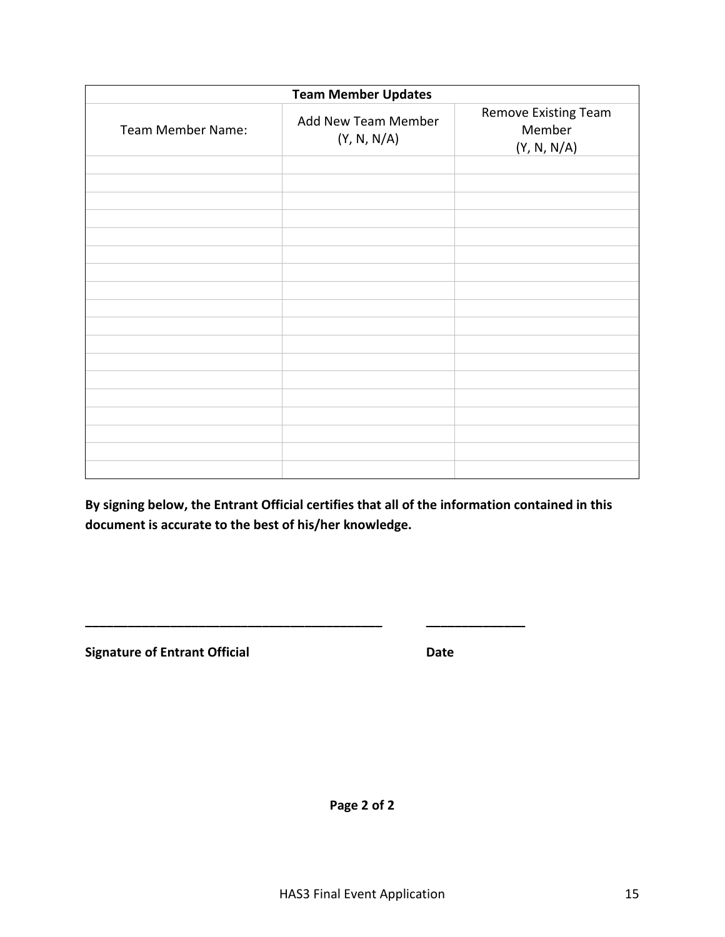| <b>Team Member Updates</b> |                                    |                                               |  |  |
|----------------------------|------------------------------------|-----------------------------------------------|--|--|
| Team Member Name:          | Add New Team Member<br>(Y, N, N/A) | Remove Existing Team<br>Member<br>(Y, N, N/A) |  |  |
|                            |                                    |                                               |  |  |
|                            |                                    |                                               |  |  |
|                            |                                    |                                               |  |  |
|                            |                                    |                                               |  |  |
|                            |                                    |                                               |  |  |
|                            |                                    |                                               |  |  |
|                            |                                    |                                               |  |  |
|                            |                                    |                                               |  |  |
|                            |                                    |                                               |  |  |
|                            |                                    |                                               |  |  |
|                            |                                    |                                               |  |  |
|                            |                                    |                                               |  |  |
|                            |                                    |                                               |  |  |
|                            |                                    |                                               |  |  |
|                            |                                    |                                               |  |  |
|                            |                                    |                                               |  |  |
|                            |                                    |                                               |  |  |
|                            |                                    |                                               |  |  |

**By signing below, the Entrant Official certifies that all of the information contained in this document is accurate to the best of his/her knowledge.**

**\_\_\_\_\_\_\_\_\_\_\_\_\_\_\_\_\_\_\_\_\_\_\_\_\_\_\_\_\_\_\_\_\_\_\_\_\_\_\_\_\_\_ \_\_\_\_\_\_\_\_\_\_\_\_\_\_**

**Signature of Entrant Official Community Community Community Community Community Community Community Community** 

**Page 2 of 2**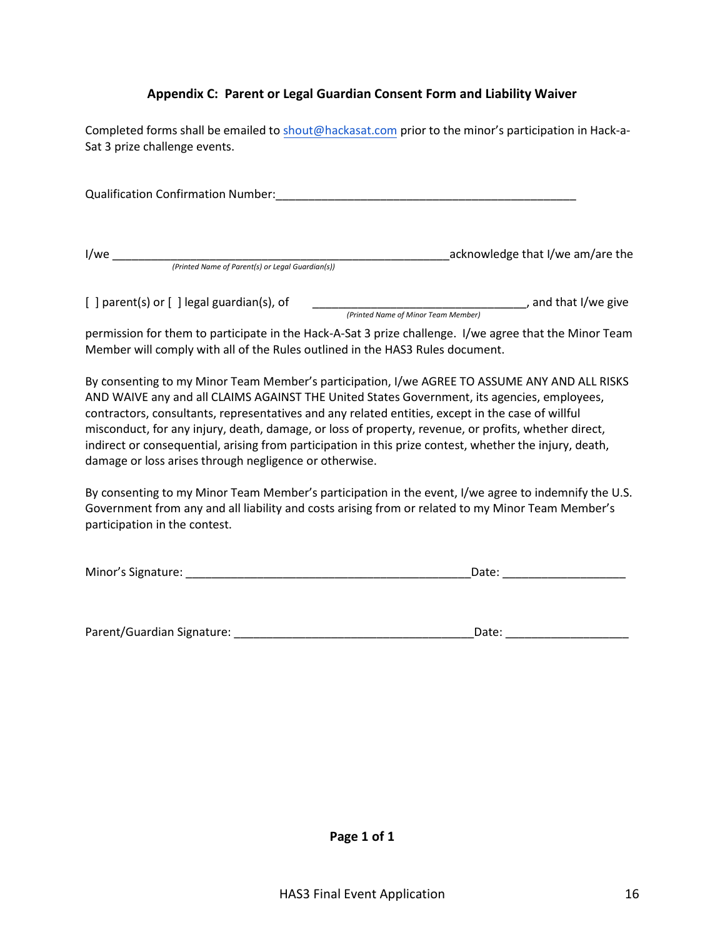# **Appendix C: Parent or Legal Guardian Consent Form and Liability Waiver**

<span id="page-15-0"></span>Completed forms shall be emailed to [shout@hackasat.com](mailto:shout@hackasat.com) prior to the minor's participation in Hack-a-Sat 3 prize challenge events.

Qualification Confirmation Number:\_\_\_\_\_\_\_\_\_\_\_\_\_\_\_\_\_\_\_\_\_\_\_\_\_\_\_\_\_\_\_\_\_\_\_\_\_\_\_\_\_\_\_\_\_\_ I/we \_\_\_\_\_\_\_\_\_\_\_\_\_\_\_\_\_\_\_\_\_\_\_\_\_\_\_\_\_\_\_\_\_\_\_\_\_\_\_\_\_\_\_\_\_\_\_\_\_\_\_\_acknowledge that I/we am/are the *(Printed Name of Parent(s) or Legal Guardian(s))* 

[ ] parent(s) or [ ] legal guardian(s), of \_\_\_\_\_\_\_\_\_\_\_\_\_\_\_\_\_\_\_\_\_\_\_\_\_\_\_\_\_\_\_\_\_, and that I/we give *(Printed Name of Minor Team Member)*

permission for them to participate in the Hack-A-Sat 3 prize challenge. I/we agree that the Minor Team Member will comply with all of the Rules outlined in the HAS3 Rules document.

By consenting to my Minor Team Member's participation, I/we AGREE TO ASSUME ANY AND ALL RISKS AND WAIVE any and all CLAIMS AGAINST THE United States Government, its agencies, employees, contractors, consultants, representatives and any related entities, except in the case of willful misconduct, for any injury, death, damage, or loss of property, revenue, or profits, whether direct, indirect or consequential, arising from participation in this prize contest, whether the injury, death, damage or loss arises through negligence or otherwise.

By consenting to my Minor Team Member's participation in the event, I/we agree to indemnify the U.S. Government from any and all liability and costs arising from or related to my Minor Team Member's participation in the contest.

| Minor's Signature: |  |
|--------------------|--|
|                    |  |

Parent/Guardian Signature: \_\_\_\_\_\_\_\_\_\_\_\_\_\_\_\_\_\_\_\_\_\_\_\_\_\_\_\_\_\_\_\_\_\_\_\_\_Date: \_\_\_\_\_\_\_\_\_\_\_\_\_\_\_\_\_\_\_